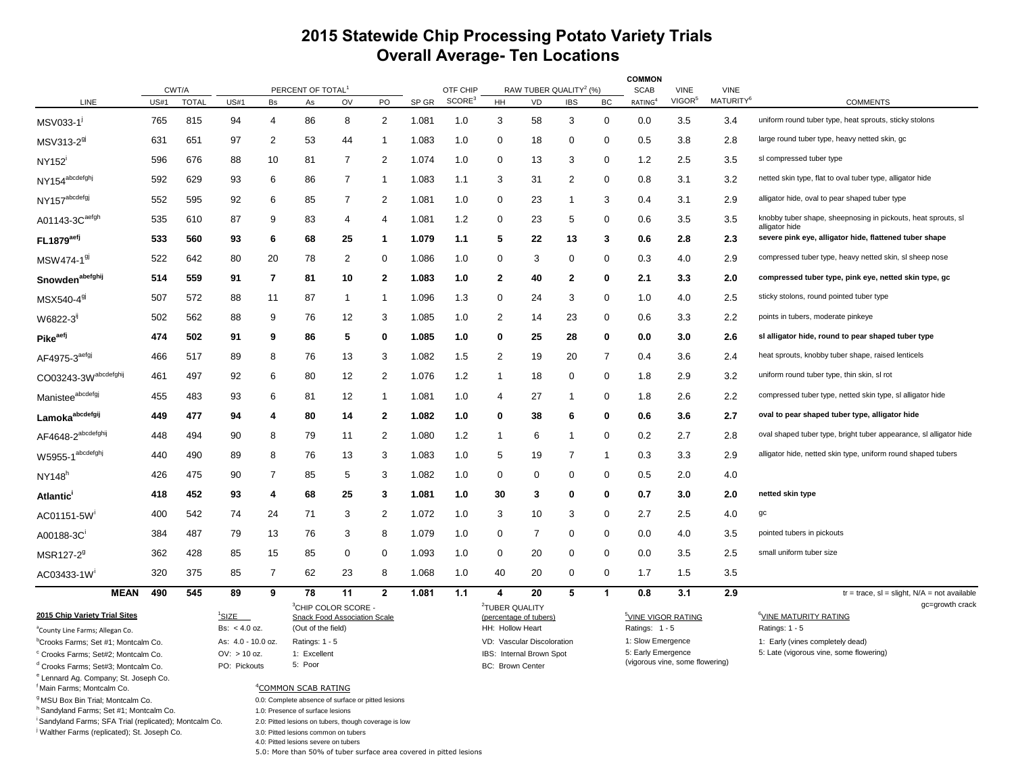## **2015 Statewide Chip Processing Potato Variety Trials Overall Average- Ten Locations**

|                                                                                           |             |                       |                    |                |                                                                              |                                                                          |                |       |                                |                                                      |                                          |                |              | <b>COMMON</b>                                         |                                   |                                      |                                                                          |
|-------------------------------------------------------------------------------------------|-------------|-----------------------|--------------------|----------------|------------------------------------------------------------------------------|--------------------------------------------------------------------------|----------------|-------|--------------------------------|------------------------------------------------------|------------------------------------------|----------------|--------------|-------------------------------------------------------|-----------------------------------|--------------------------------------|--------------------------------------------------------------------------|
| LINE                                                                                      | <b>US#1</b> | CWT/A<br><b>TOTAL</b> | <b>US#1</b>        | Bs             | PERCENT OF TOTAL <sup>1</sup><br>As                                          | OV                                                                       | PO             | SP GR | OTF CHIP<br>SCORE <sup>3</sup> | <b>HH</b>                                            | RAW TUBER QUALITY <sup>2</sup> (%)<br>VD | <b>IBS</b>     | BC           | <b>SCAB</b><br>RATING <sup>4</sup>                    | <b>VINE</b><br>VIGOR <sup>5</sup> | <b>VINE</b><br>MATURITY <sup>6</sup> | <b>COMMENTS</b>                                                          |
| MSV033-1                                                                                  | 765         | 815                   | 94                 | 4              | 86                                                                           | 8                                                                        | 2              | 1.081 | 1.0                            | 3                                                    | 58                                       | 3              | 0            | 0.0                                                   | 3.5                               | 3.4                                  | uniform round tuber type, heat sprouts, sticky stolons                   |
| MSV313-2 <sup>91</sup>                                                                    | 631         | 651                   | 97                 | 2              | 53                                                                           | 44                                                                       | -1             | 1.083 | 1.0                            | 0                                                    | 18                                       | 0              | 0            | 0.5                                                   | 3.8                               | 2.8                                  | large round tuber type, heavy netted skin, gc                            |
| NY152                                                                                     | 596         | 676                   | 88                 | 10             | 81                                                                           | $\overline{7}$                                                           | 2              | 1.074 | 1.0                            | 0                                                    | 13                                       | 3              | 0            | 1.2                                                   | 2.5                               | 3.5                                  | sl compressed tuber type                                                 |
| NY154 <sup>abcdefghj</sup>                                                                | 592         | 629                   | 93                 | 6              | 86                                                                           | $\overline{7}$                                                           | -1             | 1.083 | 1.1                            | 3                                                    | 31                                       | $\overline{2}$ | 0            | 0.8                                                   | 3.1                               | 3.2                                  | netted skin type, flat to oval tuber type, alligator hide                |
| NY157 <sup>abcdefgj</sup>                                                                 | 552         | 595                   | 92                 | 6              | 85                                                                           | 7                                                                        | 2              | 1.081 | 1.0                            | 0                                                    | 23                                       | 1              | 3            | 0.4                                                   | 3.1                               | 2.9                                  | alligator hide, oval to pear shaped tuber type                           |
| A01143-3C <sup>aefgh</sup>                                                                | 535         | 610                   | 87                 | 9              | 83                                                                           | 4                                                                        | 4              | 1.081 | 1.2                            | 0                                                    | 23                                       | 5              | 0            | 0.6                                                   | 3.5                               | 3.5                                  | knobby tuber shape, sheepnosing in pickouts, heat sprouts, sl            |
| FL1879 <sup>aefj</sup>                                                                    | 533         | 560                   | 93                 | 6              | 68                                                                           | 25                                                                       | -1             | 1.079 | 1.1                            | 5                                                    | 22                                       | 13             | 3            | 0.6                                                   | 2.8                               | 2.3                                  | alligator hide<br>severe pink eye, alligator hide, flattened tuber shape |
| MSW474-1 <sup>91</sup>                                                                    | 522         | 642                   | 80                 | 20             | 78                                                                           | $\overline{\mathbf{c}}$                                                  | 0              | 1.086 | 1.0                            | 0                                                    | 3                                        | 0              | 0            | 0.3                                                   | 4.0                               | 2.9                                  | compressed tuber type, heavy netted skin, sl sheep nose                  |
| Snowden <sup>abefghij</sup>                                                               | 514         | 559                   | 91                 | 7              | 81                                                                           | 10                                                                       | $\mathbf{2}$   | 1.083 | 1.0                            | 2                                                    | 40                                       | $\mathbf{2}$   | 0            | 2.1                                                   | 3.3                               | 2.0                                  | compressed tuber type, pink eye, netted skin type, gc                    |
| MSX540-4 <sup>91</sup>                                                                    | 507         | 572                   | 88                 | 11             | 87                                                                           | 1                                                                        | -1             | 1.096 | 1.3                            | 0                                                    | 24                                       | 3              | 0            | 1.0                                                   | 4.0                               | 2.5                                  | sticky stolons, round pointed tuber type                                 |
| W6822-3                                                                                   | 502         | 562                   | 88                 | 9              | 76                                                                           | 12                                                                       | 3              | 1.085 | 1.0                            | 2                                                    | 14                                       | 23             | 0            | 0.6                                                   | 3.3                               | 2.2                                  | points in tubers, moderate pinkeye                                       |
| Pike <sup>aefj</sup>                                                                      | 474         | 502                   | 91                 | 9              | 86                                                                           | 5                                                                        | 0              | 1.085 | 1.0                            | 0                                                    | 25                                       | 28             | 0            | 0.0                                                   | 3.0                               | 2.6                                  | sl alligator hide, round to pear shaped tuber type                       |
| AF4975-3 <sup>aefgj</sup>                                                                 | 466         | 517                   | 89                 | 8              | 76                                                                           | 13                                                                       | 3              | 1.082 | 1.5                            | $\overline{2}$                                       | 19                                       | 20             | 7            | 0.4                                                   | 3.6                               | 2.4                                  | heat sprouts, knobby tuber shape, raised lenticels                       |
| CO03243-3Wabcdefghij                                                                      | 461         | 497                   | 92                 | 6              | 80                                                                           | 12                                                                       | 2              | 1.076 | 1.2                            | $\mathbf{1}$                                         | 18                                       | 0              | 0            | 1.8                                                   | 2.9                               | 3.2                                  | uniform round tuber type, thin skin, sl rot                              |
| Manistee <sup>abcdefgj</sup>                                                              | 455         | 483                   | 93                 | 6              | 81                                                                           | 12                                                                       | -1             | 1.081 | 1.0                            | 4                                                    | 27                                       | -1             | 0            | 1.8                                                   | 2.6                               | 2.2                                  | compressed tuber type, netted skin type, sl alligator hide               |
| Lamoka <sup>abcdefgij</sup>                                                               | 449         | 477                   | 94                 | 4              | 80                                                                           | 14                                                                       | $\mathbf{2}$   | 1.082 | 1.0                            | 0                                                    | 38                                       | 6              | 0            | 0.6                                                   | 3.6                               | 2.7                                  | oval to pear shaped tuber type, alligator hide                           |
| AF4648-2 <sup>abcdefghij</sup>                                                            | 448         | 494                   | 90                 | 8              | 79                                                                           | 11                                                                       | 2              | 1.080 | 1.2                            | 1                                                    | 6                                        | 1              | 0            | 0.2                                                   | 2.7                               | 2.8                                  | oval shaped tuber type, bright tuber appearance, sl alligator hide       |
| W5955-1 <sup>abcdefghj</sup>                                                              | 440         | 490                   | 89                 | 8              | 76                                                                           | 13                                                                       | 3              | 1.083 | 1.0                            | 5                                                    | 19                                       | 7              | $\mathbf 1$  | 0.3                                                   | 3.3                               | 2.9                                  | alligator hide, netted skin type, uniform round shaped tubers            |
| NY148 <sup>h</sup>                                                                        | 426         | 475                   | 90                 | $\overline{7}$ | 85                                                                           | 5                                                                        | 3              | 1.082 | 1.0                            | 0                                                    | 0                                        | 0              | 0            | 0.5                                                   | 2.0                               | 4.0                                  |                                                                          |
| Atlantic'                                                                                 | 418         | 452                   | 93                 | 4              | 68                                                                           | 25                                                                       | 3              | 1.081 | 1.0                            | 30                                                   | 3                                        | 0              | 0            | 0.7                                                   | 3.0                               | 2.0                                  | netted skin type                                                         |
| AC01151-5W                                                                                | 400         | 542                   | 74                 | 24             | 71                                                                           | 3                                                                        | $\overline{2}$ | 1.072 | 1.0                            | 3                                                    | 10                                       | 3              | 0            | 2.7                                                   | 2.5                               | 4.0                                  | gc                                                                       |
| A00188-3C                                                                                 | 384         | 487                   | 79                 | 13             | 76                                                                           | 3                                                                        | 8              | 1.079 | 1.0                            | 0                                                    | 7                                        | $\Omega$       | 0            | 0.0                                                   | 4.0                               | 3.5                                  | pointed tubers in pickouts                                               |
| MSR127-2 <sup>9</sup>                                                                     | 362         | 428                   | 85                 | 15             | 85                                                                           | 0                                                                        | $\mathbf 0$    | 1.093 | 1.0                            | 0                                                    | 20                                       | 0              | 0            | 0.0                                                   | 3.5                               | 2.5                                  | small uniform tuber size                                                 |
| AC03433-1W                                                                                | 320         | 375                   | 85                 | 7              | 62                                                                           | 23                                                                       | 8              | 1.068 | 1.0                            | 40                                                   | 20                                       | 0              | 0            | 1.7                                                   | 1.5                               | 3.5                                  |                                                                          |
| <b>MEAN</b>                                                                               | 490         | 545                   | 89                 | 9              | 78                                                                           | 11                                                                       | $\overline{2}$ | 1.081 | 1.1                            | 4                                                    | 20                                       | 5              | $\mathbf{1}$ | 0.8                                                   | 3.1                               | 2.9                                  | $tr = trace$ , sl = slight, $N/A$ = not available                        |
| 2015 Chip Variety Trial Sites                                                             |             |                       | $1$ SIZE           |                |                                                                              | ${}^{3}$ CHIP COLOR SCORE $\cdot$<br><b>Snack Food Association Scale</b> |                |       |                                | <sup>2</sup> TUBER QUALITY<br>(percentage of tubers) |                                          |                |              | <sup>5</sup> VINE VIGOR RATING                        |                                   |                                      | gc=growth crack<br><sup>6</sup> VINE MATURITY RATING                     |
| <sup>a</sup> County Line Farms; Allegan Co.                                               |             |                       | Bs: < 4.0 oz.      |                | (Out of the field)                                                           |                                                                          |                |       |                                | HH: Hollow Heart                                     |                                          |                |              | Ratings: 1 - 5                                        |                                   |                                      | Ratings: 1 - 5                                                           |
| <sup>b</sup> Crooks Farms; Set #1; Montcalm Co.                                           |             |                       | As: 4.0 - 10.0 oz. |                | Ratings: 1 - 5                                                               |                                                                          |                |       |                                | VD: Vascular Discoloration                           |                                          |                |              | 1: Slow Emergence                                     |                                   |                                      | 1: Early (vines completely dead)                                         |
| <sup>c</sup> Crooks Farms; Set#2; Montcalm Co.                                            |             |                       | $OV: > 10$ oz.     |                | 1: Excellent                                                                 |                                                                          |                |       |                                | IBS: Internal Brown Spot                             |                                          |                |              | 5: Early Emergence<br>(vigorous vine, some flowering) |                                   |                                      | 5: Late (vigorous vine, some flowering)                                  |
| <sup>d</sup> Crooks Farms; Set#3; Montcalm Co.                                            |             |                       | PO: Pickouts       |                | 5: Poor                                                                      |                                                                          |                |       |                                | <b>BC: Brown Center</b>                              |                                          |                |              |                                                       |                                   |                                      |                                                                          |
| <sup>e</sup> Lennard Ag. Company; St. Joseph Co.<br><sup>†</sup> Main Farms; Montcalm Co. |             |                       |                    |                | <sup>4</sup> COMMON SCAB RATING                                              |                                                                          |                |       |                                |                                                      |                                          |                |              |                                                       |                                   |                                      |                                                                          |
| <sup>g</sup> MSU Box Bin Trial; Montcalm Co.                                              |             |                       |                    |                | 0.0: Complete absence of surface or pitted lesions                           |                                                                          |                |       |                                |                                                      |                                          |                |              |                                                       |                                   |                                      |                                                                          |
| <sup>n</sup> Sandyland Farms; Set #1; Montcalm Co.                                        |             |                       |                    |                | 1.0: Presence of surface lesions                                             |                                                                          |                |       |                                |                                                      |                                          |                |              |                                                       |                                   |                                      |                                                                          |
| Sandyland Farms; SFA Trial (replicated); Montcalm Co.                                     |             |                       |                    |                | 2.0: Pitted lesions on tubers, though coverage is low                        |                                                                          |                |       |                                |                                                      |                                          |                |              |                                                       |                                   |                                      |                                                                          |
| Walther Farms (replicated); St. Joseph Co.                                                |             |                       |                    |                | 3.0: Pitted lesions common on tubers<br>4.0: Pitted lesions severe on tubers |                                                                          |                |       |                                |                                                      |                                          |                |              |                                                       |                                   |                                      |                                                                          |
|                                                                                           |             |                       |                    |                |                                                                              |                                                                          |                |       |                                |                                                      |                                          |                |              |                                                       |                                   |                                      |                                                                          |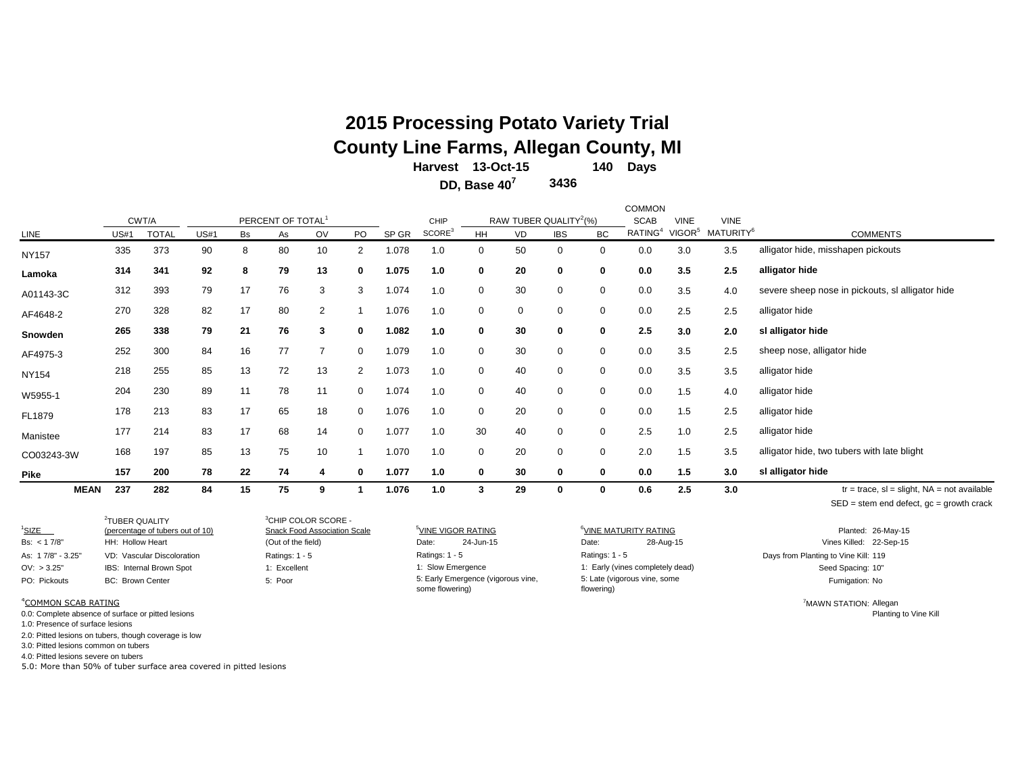# **2015 Processing Potato Variety Trial County Line Farms, Allegan County, MI**

**140 Days 13-Oct-15 Harvest**

**3436 DD, Base 40<sup>7</sup>**

| <b>MEAN</b>  | 237         | 282          | 84          | 15 | 75                            |    |                | 1.076 | 1.0                |             | 29        | 0                                  | 0           | 0.6                 | 2.5                | 3.0                   | $tr = trace$ , sl = slight, NA = not available   |
|--------------|-------------|--------------|-------------|----|-------------------------------|----|----------------|-------|--------------------|-------------|-----------|------------------------------------|-------------|---------------------|--------------------|-----------------------|--------------------------------------------------|
| Pike         | 157         | 200          | 78          | 22 | 74                            | 4  | 0              | 1.077 | 1.0                | 0           | 30        | $\mathbf 0$                        | $\mathbf 0$ | 0.0                 | 1.5                | 3.0                   | sl alligator hide                                |
| CO03243-3W   | 168         | 197          | 85          | 13 | 75                            | 10 |                | 1.070 | 1.0                | $\mathbf 0$ | 20        | 0                                  | $\mathbf 0$ | 2.0                 | 1.5                | 3.5                   | alligator hide, two tubers with late blight      |
| Manistee     | 177         | 214          | 83          | 17 | 68                            | 14 | 0              | 1.077 | 1.0                | 30          | 40        | 0                                  | $\mathbf 0$ | 2.5                 | 1.0                | 2.5                   | alligator hide                                   |
| FL1879       | 178         | 213          | 83          | 17 | 65                            | 18 | 0              | 1.076 | 1.0                | 0           | 20        | $\mathbf 0$                        | $\mathbf 0$ | 0.0                 | 1.5                | 2.5                   | alligator hide                                   |
| W5955-1      | 204         | 230          | 89          | 11 | 78                            | 11 | 0              | 1.074 | 1.0                | 0           | 40        | $\mathbf 0$                        | $\mathbf 0$ | 0.0                 | 1.5                | 4.0                   | alligator hide                                   |
| <b>NY154</b> | 218         | 255          | 85          | 13 | 72                            | 13 | $\overline{2}$ | 1.073 | 1.0                | $\mathbf 0$ | 40        | $\mathbf 0$                        | $\mathbf 0$ | 0.0                 | 3.5                | 3.5                   | alligator hide                                   |
| AF4975-3     | 252         | 300          | 84          | 16 | 77                            |    | 0              | 1.079 | 1.0                | $\mathbf 0$ | 30        | $\mathbf 0$                        | $\mathbf 0$ | 0.0                 | 3.5                | 2.5                   | sheep nose, alligator hide                       |
| Snowden      | 265         | 338          | 79          | 21 | 76                            | 3  | 0              | 1.082 | 1.0                | $\mathbf 0$ | 30        | $\mathbf 0$                        | $\mathbf 0$ | 2.5                 | 3.0                | 2.0                   | sl alligator hide                                |
| AF4648-2     | 270         | 328          | 82          | 17 | 80                            | 2  |                | 1.076 | 1.0                | 0           | 0         | 0                                  | $\mathbf 0$ | 0.0                 | 2.5                | 2.5                   | alligator hide                                   |
| A01143-3C    | 312         | 393          | 79          | 17 | 76                            | 3  | 3              | 1.074 | 1.0                | 0           | 30        | $\mathbf 0$                        | 0           | 0.0                 | 3.5                | 4.0                   | severe sheep nose in pickouts, sl alligator hide |
| Lamoka       | 314         | 341          | 92          | 8  | 79                            | 13 | 0              | 1.075 | 1.0                | 0           | 20        | 0                                  | 0           | 0.0                 | 3.5                | 2.5                   | alligator hide                                   |
| <b>NY157</b> | 335         | 373          | 90          | 8  | 80                            | 10 | 2              | 1.078 | 1.0                | 0           | 50        | 0                                  | 0           | 0.0                 | 3.0                | 3.5                   | alligator hide, misshapen pickouts               |
| LINE         | <b>US#1</b> | <b>TOTAL</b> | <b>US#1</b> | Bs | As                            | OV | PO             | SP GR | SCORE <sup>3</sup> | <b>HH</b>   | <b>VD</b> | <b>IBS</b>                         | <b>BC</b>   | RATING <sup>4</sup> | VIGOR <sup>5</sup> | MATURITY <sup>6</sup> | <b>COMMENTS</b>                                  |
|              |             | CWT/A        |             |    | PERCENT OF TOTAL <sup>1</sup> |    |                |       | CHIP               |             |           | RAW TUBER QUALITY <sup>2</sup> (%) |             | <b>SCAB</b>         | <b>VINE</b>        | <b>VINE</b>           |                                                  |
|              |             |              |             |    |                               |    |                |       |                    |             |           |                                    |             | <b>COMMON</b>       |                    |                       |                                                  |

 $SED = stem$  end defect,  $gc = growth$  crack

| $1$ SIZE                        | <sup>2</sup> TUBER OUALITY<br>(percentage of tubers out of 10) | <sup>3</sup> CHIP COLOR SCORE -<br>Snack Food Association Scale | <sup>5</sup> VINE VIGOR RATING                        | <sup>b</sup> VINE MATURITY RATING          | Planted: 26-May-15                   |
|---------------------------------|----------------------------------------------------------------|-----------------------------------------------------------------|-------------------------------------------------------|--------------------------------------------|--------------------------------------|
| Bs: $< 17/8"$                   | HH: Hollow Heart                                               | (Out of the field)                                              | 24-Jun-15<br>Date:                                    | 28-Aug-15<br>Date:                         | Vines Killed: 22-Sep-15              |
| As: 17/8" - 3.25"               | VD: Vascular Discoloration                                     | Ratings: $1 - 5$                                                | Ratings: $1 - 5$                                      | Ratings: 1 - 5                             | Days from Planting to Vine Kill: 119 |
| OV: > 3.25"                     | IBS: Internal Brown Spot                                       | 1: Excellent                                                    | 1: Slow Emergence                                     | 1: Early (vines completely dead)           | Seed Spacing: 10"                    |
| PO: Pickouts                    | <b>BC: Brown Center</b>                                        | 5: Poor                                                         | 5: Early Emergence (vigorous vine,<br>some flowering) | 5: Late (vigorous vine, some<br>flowering) | Fumigation: No                       |
| <sup>4</sup> COMMON SCAB RATING |                                                                |                                                                 |                                                       |                                            | <sup>7</sup> MAWN STATION: Allegan   |

0.0: Complete absence of surface or pitted lesions **Planting to Vine Kill** computer Surface or pitted lesions **Planting to Vine Kill** 

1.0: Presence of surface lesions

2.0: Pitted lesions on tubers, though coverage is low

3.0: Pitted lesions common on tubers

4.0: Pitted lesions severe on tubers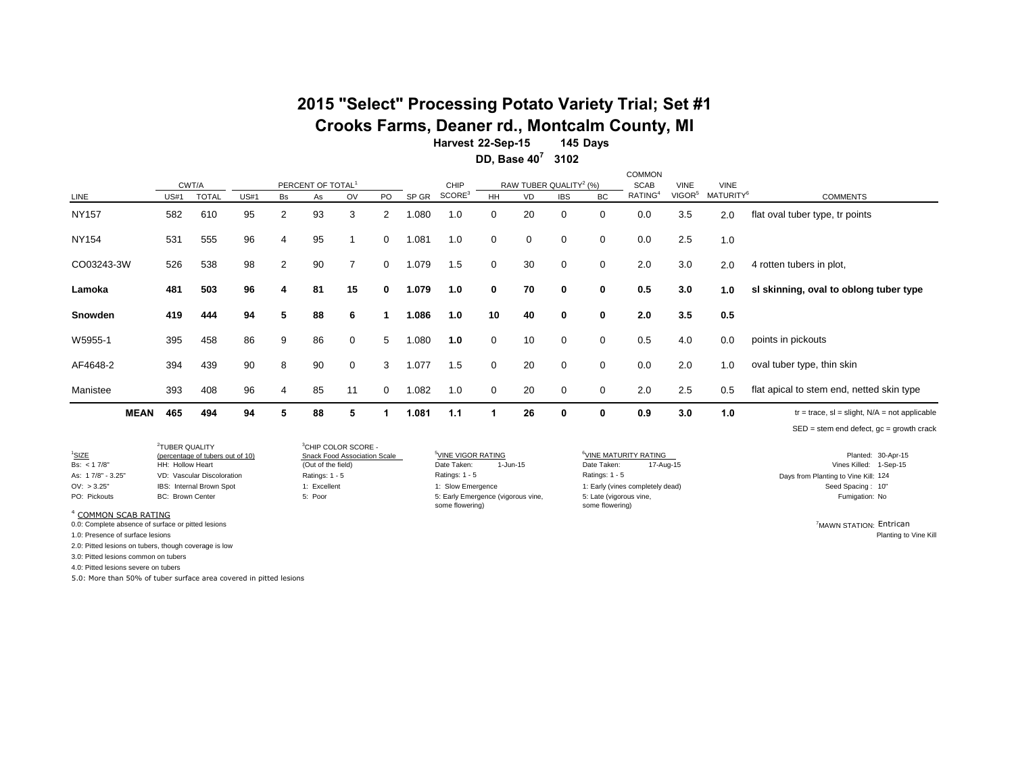# **2015 "Select" Processing Potato Variety Trial; Set #1**

**Crooks Farms, Deaner rd., Montcalm County, MI**

**145 Days 3102 DD, Base 40<sup>7</sup> Harvest 22-Sep-15**

|                |             |      |                       |             |                |                                     |             |                |       |                            |              |    |                                                  |             | <b>COMMON</b>                      |                                   |                                      |                                                    |
|----------------|-------------|------|-----------------------|-------------|----------------|-------------------------------------|-------------|----------------|-------|----------------------------|--------------|----|--------------------------------------------------|-------------|------------------------------------|-----------------------------------|--------------------------------------|----------------------------------------------------|
| LINE           |             | US#1 | CWT/A<br><b>TOTAL</b> | <b>US#1</b> | Bs             | PERCENT OF TOTAL <sup>1</sup><br>As | OV          | <b>PO</b>      | SP GR | CHIP<br>SCORE <sup>3</sup> | HH           | VD | RAW TUBER QUALITY <sup>2</sup> (%)<br><b>IBS</b> | BC          | <b>SCAB</b><br>RATING <sup>4</sup> | <b>VINE</b><br>VIGOR <sup>5</sup> | <b>VINE</b><br>MATURITY <sup>6</sup> | <b>COMMENTS</b>                                    |
| <b>NY157</b>   |             | 582  | 610                   | 95          | 2              | 93                                  | 3           | $\overline{2}$ | .080  | 1.0                        | 0            | 20 | 0                                                | 0           | 0.0                                | 3.5                               | 2.0                                  | flat oval tuber type, tr points                    |
| <b>NY154</b>   |             | 531  | 555                   | 96          | 4              | 95                                  |             | $\mathbf 0$    | 1.081 | 1.0                        | $\mathbf 0$  | 0  | 0                                                | 0           | 0.0                                | 2.5                               | 1.0                                  |                                                    |
| CO03243-3W     |             | 526  | 538                   | 98          | $\overline{2}$ | 90                                  | 7           | $\Omega$       | 1.079 | 1.5                        | $\mathbf 0$  | 30 | 0                                                | 0           | 2.0                                | 3.0                               | 2.0                                  | 4 rotten tubers in plot,                           |
| Lamoka         |             | 481  | 503                   | 96          | 4              | 81                                  | 15          | $\bf{0}$       | 1.079 | 1.0                        | $\mathbf{0}$ | 70 | $\mathbf 0$                                      | 0           | 0.5                                | 3.0                               | 1.0                                  | sl skinning, oval to oblong tuber type             |
| <b>Snowden</b> |             | 419  | 444                   | 94          | 5              | 88                                  | 6           |                | 1.086 | 1.0                        | 10           | 40 | $\mathbf 0$                                      | 0           | 2.0                                | 3.5                               | 0.5                                  |                                                    |
| W5955-1        |             | 395  | 458                   | 86          | 9              | 86                                  | $\mathbf 0$ | 5              | .080  | 1.0                        | 0            | 10 | 0                                                | 0           | 0.5                                | 4.0                               | 0.0                                  | points in pickouts                                 |
| AF4648-2       |             | 394  | 439                   | 90          | 8              | 90                                  | $\mathbf 0$ | 3              | 1.077 | 1.5                        | $\mathbf 0$  | 20 | $\mathbf 0$                                      | $\mathbf 0$ | 0.0                                | 2.0                               | 1.0                                  | oval tuber type, thin skin                         |
| Manistee       |             | 393  | 408                   | 96          | 4              | 85                                  | 11          | 0              | 1.082 | 1.0                        | 0            | 20 | 0                                                | 0           | 2.0                                | 2.5                               | 0.5                                  | flat apical to stem end, netted skin type          |
|                | <b>MEAN</b> | 465  | 494                   | 94          | 5              | 88                                  | 5           |                | 1.081 | 1.1                        |              | 26 | 0                                                | 0           | 0.9                                | 3.0                               | 1.0                                  | $tr = trace$ , sl = slight, $N/A$ = not applicable |
|                |             |      |                       |             |                |                                     |             |                |       |                            |              |    |                                                  |             |                                    |                                   |                                      | $SED = stem$ end defect, $gc = growth$ crack       |

2 TUBER QUALITY

<sup>3</sup>CHIP COLOR SCORE - Snack Food Association Scale

some flowering) 1-Jun-15 1: Slow Emergence Ratings: 1 - 5

Ratings: 1 - 5 5: Late (vigorous vine, some flowering) 17-Aug-15

<sup>1</sup>SIZE <sup>5</sup>VINE VIGOR RATING <sup>6</sup>VINE MATURITY RATING Planted: 30-Apr-15 (percentage of tubers out of 10) Bs: < 1 7/8" HH: Hollow Heart (Out of the field) Date Taken: Date Taken: Vines Killed: 1-Sep-15 As: 1 7/8" - 3.25" VD: Vascular Discoloration Ratings: 1 - 5 Days from Planting to Vine Kill: 124 OV: > 3.25" IBS: Internal Brown Spot 1: Excellent 1: Excellent 1: Slow Emergence 1: Early (vines completely dead) Seed Spacing : 10" PO: Pickouts BC: Brown Center The State of the State of the State (State (vigorous vine, Tumber of the Citycones vine, Fumigation: No

<sup>4</sup> COMMON SCAB RATING

0.0: Complete absence of surface or pitted lesions <sup>7</sup>MAWN STATION: Entrican

1.0: Presence of surface lesions Planting to Vine Kill

2.0: Pitted lesions on tubers, though coverage is low

3.0: Pitted lesions common on tubers

4.0: Pitted lesions severe on tubers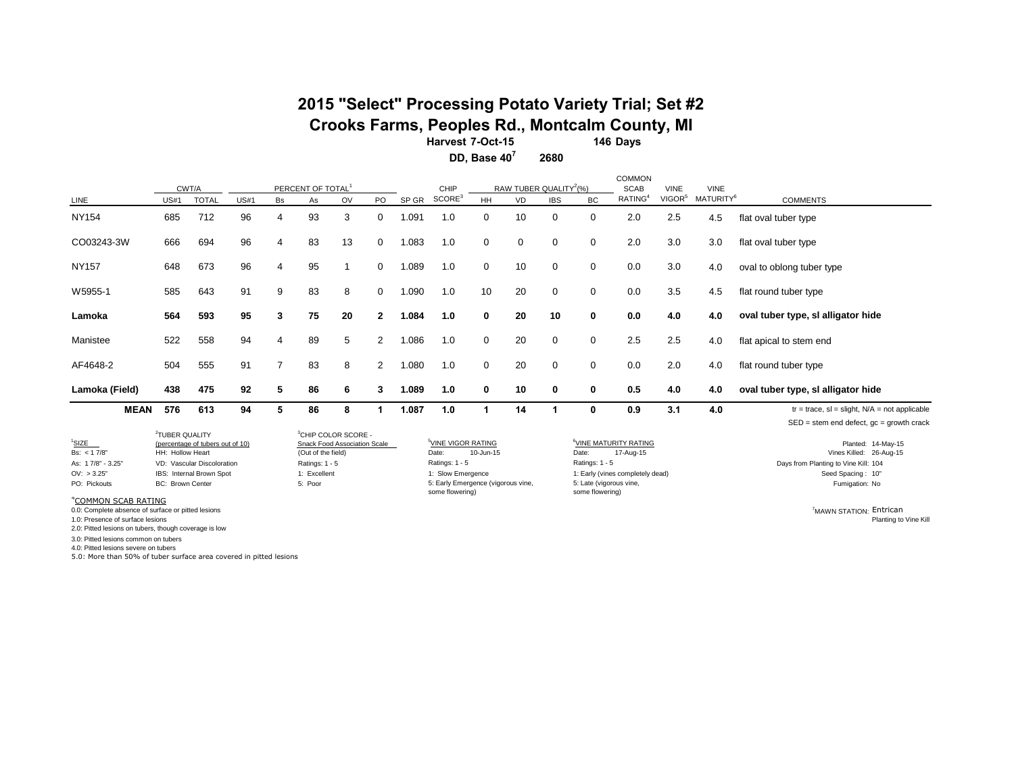### **2015 "Select" Processing Potato Variety Trial; Set #2 Crooks Farms, Peoples Rd., Montcalm County, MI**

**146 Days Harvest 7-Oct-15**

**2680 DD, Base 40<sup>7</sup>**

|                |             | CWT/A        |             |                | PERCENT OF TOTAL |    |                      |       | CHIP               |              | RAW TUBER QUALITY <sup>2</sup> (%) |             |           | COMMON<br><b>SCAB</b> | <b>VINE</b><br>VIGOR <sup>5</sup> | <b>VINE</b>           |                                                                                                    |
|----------------|-------------|--------------|-------------|----------------|------------------|----|----------------------|-------|--------------------|--------------|------------------------------------|-------------|-----------|-----------------------|-----------------------------------|-----------------------|----------------------------------------------------------------------------------------------------|
| LINE           | <b>US#1</b> | <b>TOTAL</b> | <b>US#1</b> | Bs             | As               | OV | PO.                  | SP GR | SCORE <sup>3</sup> | <b>HH</b>    | <b>VD</b>                          | <b>IBS</b>  | <b>BC</b> | RATING <sup>4</sup>   |                                   | MATURITY <sup>6</sup> | <b>COMMENTS</b>                                                                                    |
| <b>NY154</b>   | 685         | 712          | 96          | $\overline{4}$ | 93               | 3  | 0                    | 1.091 | 1.0                | $\mathbf{0}$ | 10                                 | 0           | 0         | 2.0                   | 2.5                               | 4.5                   | flat oval tuber type                                                                               |
| CO03243-3W     | 666         | 694          | 96          | 4              | 83               | 13 | 0                    | 1.083 | 1.0                | 0            | 0                                  | 0           | 0         | 2.0                   | 3.0                               | 3.0                   | flat oval tuber type                                                                               |
| <b>NY157</b>   | 648         | 673          | 96          | 4              | 95               |    | 0                    | 1.089 | 1.0                | 0            | 10                                 | 0           | 0         | 0.0                   | 3.0                               | 4.0                   | oval to oblong tuber type                                                                          |
| W5955-1        | 585         | 643          | 91          | 9              | 83               | 8  | 0                    | 1.090 | 1.0                | 10           | 20                                 | 0           | 0         | 0.0                   | 3.5                               | 4.5                   | flat round tuber type                                                                              |
| Lamoka         | 564         | 593          | 95          | 3              | 75               | 20 | $\mathbf{2}$         | 1.084 | 1.0                | 0            | 20                                 | 10          | 0         | 0.0                   | 4.0                               | 4.0                   | oval tuber type, si alligator hide                                                                 |
| Manistee       | 522         | 558          | 94          | 4              | 89               | 5  | $\mathbf{2}^{\circ}$ | 1.086 | 1.0                | 0            | 20                                 | 0           | 0         | 2.5                   | 2.5                               | 4.0                   | flat apical to stem end                                                                            |
| AF4648-2       | 504         | 555          | 91          | $\overline{7}$ | 83               | 8  | $\overline{2}$       | 1.080 | 1.0                | $\mathbf 0$  | 20                                 | $\mathbf 0$ | 0         | 0.0                   | 2.0                               | 4.0                   | flat round tuber type                                                                              |
| Lamoka (Field) | 438         | 475          | 92          | 5              | 86               | 6  | 3                    | 1.089 | 1.0                | 0            | 10                                 | 0           | 0         | 0.5                   | 4.0                               | 4.0                   | oval tuber type, si alligator hide                                                                 |
| <b>MEAN</b>    | 576         | 613          | 94          | 5              | 86               | 8  |                      | 1.087 | 1.0                | 1            | 14                                 |             | 0         | 0.9                   | 3.1                               | 4.0                   | $tr = trace$ , sl = slight, $N/A$ = not applicable<br>$SED = stem$ end defect, $gc = growth$ crack |

2 TUBER QUALITY (percentage of tubers out of 10)<br>HH: Hollow Heart <sup>3</sup>CHIP COLOR SCORE -

Ratings: 1 - 5 some flowering) 10-Jun-15 1: Slow Emergence

1: Early (vines completely dead) Ratings: 1 - 5 5: Late (vigorous vine, some flowering) 17-Aug-15

<sup>1</sup>SIZE (percentage of tubers out of 10) Snack Food Association Scale <sup>5</sup>VINE VIGOR RATING <sup>6</sup>VINE MATURITY RATING **And a struck of the State of the COVINE Planted: 14-May-15** Bs: <17/8" HH: Hollow Heart (Out of the field) Date: 10-Jun-15 Date: 17-Aug-15 Date: 17-Aug-15 Vines Killed: 26-Aug-15 As: 1 7/8" - 3.25" VD: Vascular Discoloration 
Ratings: 1 - 5 Ratings: 1 - 5 Ratings: 1 - 5 Ratings: 1 - 5 Ratings: 1 - 5 Ratings: 1 - 5 Ratings: 1 - 5 Ratings: 1 - 5 Ratings: 1 - 5 Days from Planting to Vine Kill: 104<br>
OV PO: Pickouts BC: Brown Center S: Poor 5: Poor S: Early Emergence (vigorous vine, 5: Late (vigorous vine, Tumigation: No

<sup>4</sup>COMMON SCAB RATING

0.0: Complete absence of surface or pitted lesions **and the surface of surface or pitted lesions** (0.0: Complete absence of surface or pitted lesions **and the surface of surface or pitted lesions 7MAWN STATION: Entrican** 

1.0: Presence of surface lesions

2.0: Pitted lesions on tubers, though coverage is low

3.0: Pitted lesions common on tubers

4.0: Pitted lesions severe on tubers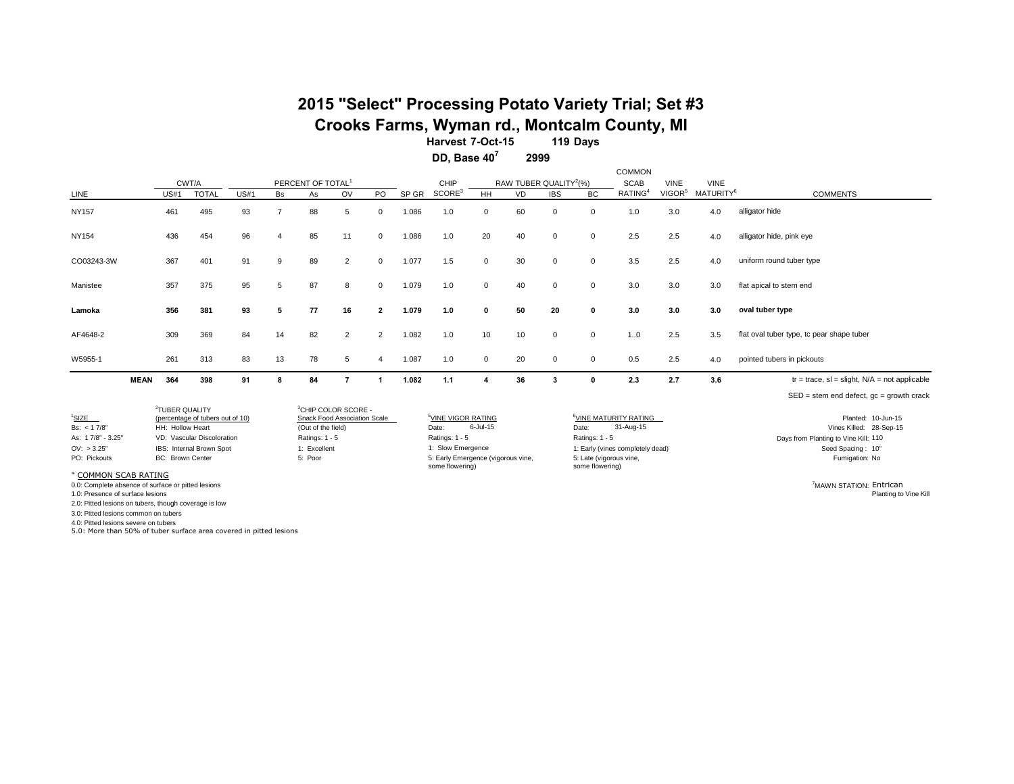### **2015 "Select" Processing Potato Variety Trial; Set #3 Crooks Farms, Wyman rd., Montcalm County, MI**

**119 Days 7-Oct-15 HarvestDD, Base 40<sup>7</sup>**

**2999**

|                                                                                                                          |                                                                           |                                                                                            |             |                |                                                                                                                                    |                |              |       |                                                                                                                                         |              |                                    |             |                                                                       | <b>COMMON</b>                                                                      |                    |                       |                                                                                                                              |
|--------------------------------------------------------------------------------------------------------------------------|---------------------------------------------------------------------------|--------------------------------------------------------------------------------------------|-------------|----------------|------------------------------------------------------------------------------------------------------------------------------------|----------------|--------------|-------|-----------------------------------------------------------------------------------------------------------------------------------------|--------------|------------------------------------|-------------|-----------------------------------------------------------------------|------------------------------------------------------------------------------------|--------------------|-----------------------|------------------------------------------------------------------------------------------------------------------------------|
|                                                                                                                          |                                                                           | CWT/A                                                                                      |             |                | PERCENT OF TOTAL <sup>1</sup>                                                                                                      |                |              |       | CHIP                                                                                                                                    |              | RAW TUBER QUALITY <sup>2</sup> (%) |             |                                                                       | <b>SCAB</b>                                                                        | <b>VINE</b>        | <b>VINE</b>           |                                                                                                                              |
| LINE                                                                                                                     | US#1                                                                      | <b>TOTAL</b>                                                                               | <b>US#1</b> | <b>Bs</b>      | As                                                                                                                                 | OV             | PO           | SP GR | SCORE <sup>3</sup>                                                                                                                      | HH           | VD                                 | <b>IBS</b>  | <b>BC</b>                                                             | RATING <sup>4</sup>                                                                | VIGOR <sup>5</sup> | MATURITY <sup>6</sup> | <b>COMMENTS</b>                                                                                                              |
| <b>NY157</b>                                                                                                             | 461                                                                       | 495                                                                                        | 93          | $\overline{7}$ | 88                                                                                                                                 | 5              | 0            | 1.086 | 1.0                                                                                                                                     | $\mathbf 0$  | 60                                 | $\mathbf 0$ | $\mathbf 0$                                                           | 1.0                                                                                | 3.0                | 4.0                   | alligator hide                                                                                                               |
| <b>NY154</b>                                                                                                             | 436                                                                       | 454                                                                                        | 96          | $\overline{4}$ | 85                                                                                                                                 | 11             | $\mathbf{0}$ | 1.086 | 1.0                                                                                                                                     | 20           | 40                                 | $\mathbf 0$ | $\Omega$                                                              | 2.5                                                                                | 2.5                | 4.0                   | alligator hide, pink eye                                                                                                     |
| CO03243-3W                                                                                                               | 367                                                                       | 401                                                                                        | 91          | 9              | 89                                                                                                                                 | $\overline{2}$ | 0            | 1.077 | 1.5                                                                                                                                     | $\mathbf 0$  | 30                                 | $\mathbf 0$ | $\mathbf 0$                                                           | 3.5                                                                                | 2.5                | 4.0                   | uniform round tuber type                                                                                                     |
| Manistee                                                                                                                 | 357                                                                       | 375                                                                                        | 95          | 5              | 87                                                                                                                                 | 8              | $\Omega$     | 1.079 | 1.0                                                                                                                                     | $\mathbf 0$  | 40                                 | $\mathbf 0$ | $\mathbf 0$                                                           | 3.0                                                                                | 3.0                | 3.0                   | flat apical to stem end                                                                                                      |
| Lamoka                                                                                                                   | 356                                                                       | 381                                                                                        | 93          | 5              | 77                                                                                                                                 | 16             | $\mathbf{2}$ | 1.079 | 1.0                                                                                                                                     | $\mathbf{0}$ | 50                                 | 20          | $\bf{0}$                                                              | 3.0                                                                                | 3.0                | 3.0                   | oval tuber type                                                                                                              |
| AF4648-2                                                                                                                 | 309                                                                       | 369                                                                                        | 84          | 14             | 82                                                                                                                                 | $\overline{2}$ | 2            | 1.082 | 1.0                                                                                                                                     | 10           | 10                                 | 0           | $\mathbf 0$                                                           | 10                                                                                 | 2.5                | 3.5                   | flat oval tuber type, tc pear shape tuber                                                                                    |
| W5955-1                                                                                                                  | 261                                                                       | 313                                                                                        | 83          | 13             | 78                                                                                                                                 | 5              | 4            | 1.087 | 1.0                                                                                                                                     | $\mathbf 0$  | 20                                 | 0           | $\mathbf 0$                                                           | 0.5                                                                                | 2.5                | 4.0                   | pointed tubers in pickouts                                                                                                   |
| <b>MEAN</b>                                                                                                              | 364                                                                       | 398                                                                                        | 91          | 8              | 84                                                                                                                                 | $\overline{7}$ |              | 1.082 | 1.1                                                                                                                                     | 4            | 36                                 | 3           | $\mathbf{0}$                                                          | 2.3                                                                                | 2.7                | 3.6                   | $tr = trace$ , sl = slight, $N/A$ = not applicable                                                                           |
|                                                                                                                          |                                                                           |                                                                                            |             |                |                                                                                                                                    |                |              |       |                                                                                                                                         |              |                                    |             |                                                                       |                                                                                    |                    |                       | $SED = stem$ end defect, $qc = growth$ crack                                                                                 |
| <sup>1</sup> SIZE<br>Bs: $< 17/8$<br>As: 17/8" - 3.25"<br>OV: > 3.25'<br>PO: Pickouts<br><sup>4</sup> COMMON SCAB RATING | <sup>2</sup> TUBER OUALITY<br>HH: Hollow Heart<br><b>BC: Brown Center</b> | (percentage of tubers out of 10)<br>VD: Vascular Discoloration<br>IBS: Internal Brown Spot |             |                | <sup>3</sup> CHIP COLOR SCORE -<br>Snack Food Association Scale<br>(Out of the field)<br>Ratings: 1 - 5<br>1: Excellent<br>5: Poor |                |              |       | <sup>5</sup> VINE VIGOR RATING<br>Date:<br>Ratings: 1 - 5<br>1: Slow Emergence<br>5: Early Emergence (vigorous vine,<br>some flowering) | 6-Jul-15     |                                    |             | Date:<br>Ratings: 1 - 5<br>5: Late (vigorous vine,<br>some flowering) | <sup>6</sup> VINE MATURITY RATING<br>31-Aug-15<br>1: Early (vines completely dead) |                    |                       | Planted: 10-Jun-15<br>Vines Killed: 28-Sep-15<br>Days from Planting to Vine Kill: 110<br>Seed Spacing: 10"<br>Fumigation: No |
| 0.0: Complete absence of surface or pitted lesions<br>1.0: Presence of surface lesions                                   |                                                                           |                                                                                            |             |                |                                                                                                                                    |                |              |       |                                                                                                                                         |              |                                    |             |                                                                       |                                                                                    |                    |                       | <sup>7</sup> MAWN STATION: Entrican<br>Planting to Vine Kill                                                                 |

2.0: Pitted lesions on tubers, though coverage is low

3.0: Pitted lesions common on tubers

4.0: Pitted lesions severe on tubers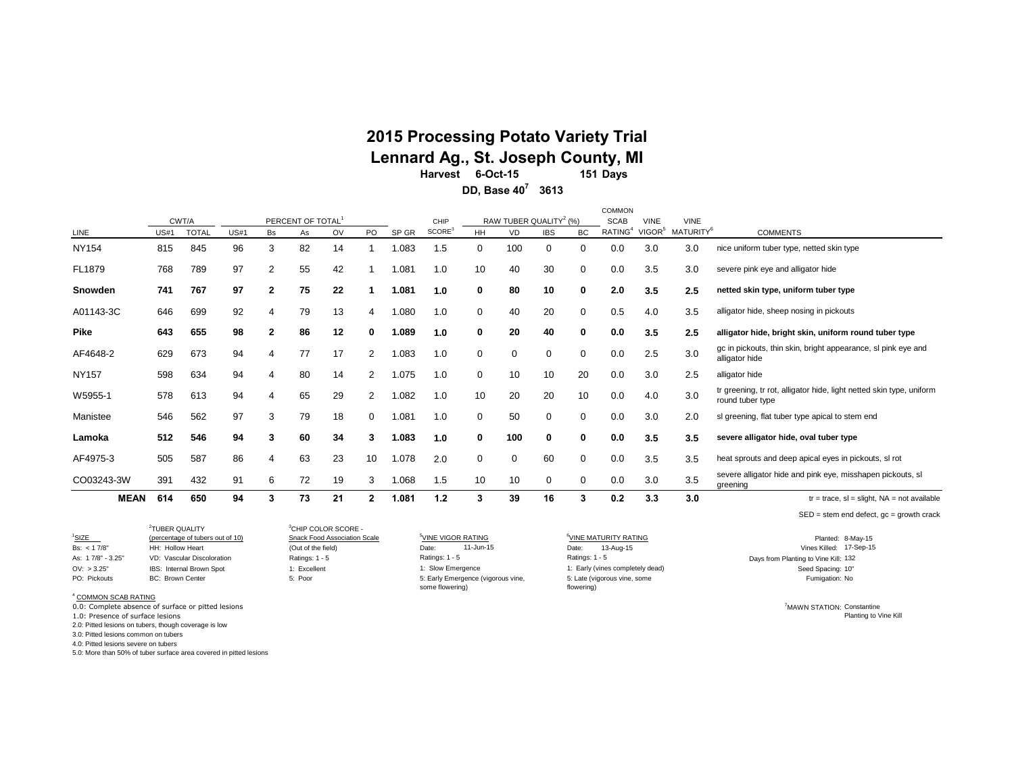#### **151 Days 2015 Processing Potato Variety Trial 6-Oct-15 Harvest Lennard Ag., St. Joseph County, MI**

**3613 DD, Base 40<sup>7</sup>**

|              |                            |                       |             |              |                                 |    |              |       |                            |           |                                                 |            |             | <b>COMMON</b>                      |                                   |                                      |                                                                                          |
|--------------|----------------------------|-----------------------|-------------|--------------|---------------------------------|----|--------------|-------|----------------------------|-----------|-------------------------------------------------|------------|-------------|------------------------------------|-----------------------------------|--------------------------------------|------------------------------------------------------------------------------------------|
| LINE         | <b>US#1</b>                | CWT/A<br><b>TOTAL</b> | <b>US#1</b> | Bs           | PERCENT OF TOTAL<br>As          | OV | PO           | SP GR | CHIP<br>SCORE <sup>3</sup> | <b>HH</b> | RAW TUBER QUALITY <sup>2</sup> (%)<br><b>VD</b> | <b>IBS</b> | <b>BC</b>   | <b>SCAB</b><br>RATING <sup>4</sup> | <b>VINE</b><br>VIGOR <sup>5</sup> | <b>VINE</b><br>MATURITY <sup>6</sup> | <b>COMMENTS</b>                                                                          |
| <b>NY154</b> | 815                        | 845                   | 96          | 3            | 82                              | 14 |              | 1.083 | 1.5                        | 0         | 100                                             | 0          | 0           | 0.0                                | 3.0                               | 3.0                                  | nice uniform tuber type, netted skin type                                                |
| FL1879       | 768                        | 789                   | 97          | 2            | 55                              | 42 |              | 1.081 | 1.0                        | 10        | 40                                              | 30         | 0           | 0.0                                | 3.5                               | 3.0                                  | severe pink eye and alligator hide                                                       |
| Snowden      | 741                        | 767                   | 97          | $\mathbf{2}$ | 75                              | 22 |              | 1.081 | 1.0                        | 0         | 80                                              | 10         | $\bf{0}$    | 2.0                                | 3.5                               | 2.5                                  | netted skin type, uniform tuber type                                                     |
| A01143-3C    | 646                        | 699                   | 92          | 4            | 79                              | 13 | 4            | 1.080 | 1.0                        | 0         | 40                                              | 20         | 0           | 0.5                                | 4.0                               | 3.5                                  | alligator hide, sheep nosing in pickouts                                                 |
| <b>Pike</b>  | 643                        | 655                   | 98          | $\mathbf{2}$ | 86                              | 12 | 0            | 1.089 | 1.0                        | 0         | 20                                              | 40         | 0           | 0.0                                | 3.5                               | 2.5                                  | alligator hide, bright skin, uniform round tuber type                                    |
| AF4648-2     | 629                        | 673                   | 94          | 4            | 77                              | 17 | 2            | 1.083 | 1.0                        | 0         | 0                                               | 0          | 0           | 0.0                                | 2.5                               | 3.0                                  | gc in pickouts, thin skin, bright appearance, sl pink eye and<br>alligator hide          |
| <b>NY157</b> | 598                        | 634                   | 94          | 4            | 80                              | 14 | 2            | 1.075 | 1.0                        | 0         | 10                                              | 10         | 20          | 0.0                                | 3.0                               | 2.5                                  | alligator hide                                                                           |
| W5955-1      | 578                        | 613                   | 94          | 4            | 65                              | 29 | 2            | 1.082 | 1.0                        | 10        | 20                                              | 20         | 10          | 0.0                                | 4.0                               | 3.0                                  | tr greening, tr rot, alligator hide, light netted skin type, uniform<br>round tuber type |
| Manistee     | 546                        | 562                   | 97          | 3            | 79                              | 18 | 0            | 1.081 | 1.0                        | 0         | 50                                              | 0          | 0           | 0.0                                | 3.0                               | 2.0                                  | sl greening, flat tuber type apical to stem end                                          |
| Lamoka       | 512                        | 546                   | 94          | 3            | 60                              | 34 | 3            | 1.083 | 1.0                        | 0         | 100                                             | $\bf{0}$   | 0           | 0.0                                | 3.5                               | 3.5                                  | severe alligator hide, oval tuber type                                                   |
| AF4975-3     | 505                        | 587                   | 86          | 4            | 63                              | 23 | 10           | 1.078 | 2.0                        | 0         | 0                                               | 60         | 0           | 0.0                                | 3.5                               | 3.5                                  | heat sprouts and deep apical eyes in pickouts, sl rot                                    |
| CO03243-3W   | 391                        | 432                   | 91          | 6            | 72                              | 19 | 3            | 1.068 | 1.5                        | 10        | 10                                              | 0          | $\mathbf 0$ | 0.0                                | 3.0                               | 3.5                                  | severe alligator hide and pink eye, misshapen pickouts, sl<br>greening                   |
| <b>MEAN</b>  | 614                        | 650                   | 94          | 3            | 73                              | 21 | $\mathbf{2}$ | 1.081 | 1.2                        | 3         | 39                                              | 16         | 3           | 0.2                                | 3.3                               | 3.0                                  | $tr = trace$ , sl = slight, NA = not available                                           |
|              |                            |                       |             |              |                                 |    |              |       |                            |           |                                                 |            |             |                                    |                                   |                                      | $SED = stem$ end defect, $gc = growth$ crack                                             |
|              | <sup>2</sup> TUBER QUALITY |                       |             |              | <sup>3</sup> CHIP COLOR SCORE - |    |              |       |                            |           |                                                 |            |             |                                    |                                   |                                      |                                                                                          |

<sup>1</sup>SIZE **6VINE MATURITY RATING** 5NINE OPPORT THE VIGOR RATING <sup>5</sup>VINE VIGOR RATING <sup>6</sup>VINE MATURITY RATING **1999 1999** Planted: Bs: <17/8" HH: Hollow Heart (Out of the field) Date: 11-Jun-15 Date: 11-Date: 13-Aug-15 Date: Date: Date: Nines Killed: As: 17/8" - 3.25" VD: Vascular Discoloration Ratings: 1 - 5 Ratings: 1 - 5 Ratings: 1 - 5 Ratings: 1 - 5 Rating to Vine Kill: 132 OV: > 3.25" IBS: Internal Brown Spot 1: Excellent 1: Excellent 1: Slow Emergence 1: Early (vines completely dead) and the Spacing: 10" Seed Spacing: 10" PO: Pickouts BC: Brown Center States BC: Poor States Book States Brown Center Compared Compared Compared Vigorous vine, State (vigorous vine, some States of the Vigorous vine, some Fumigation: No Ratings: 1 - 5 flowering) Ratings: 1 - 5 11-Jun-15 some flowering) <sup>3</sup>CHIP COLOR SCORE -<br>Snack Food Association Scale 1: Slow Emergence

5: Late (vigorous vine, some

Planted: 8-May-15 Vines Killed: 17-Sep-15

> <sup>7</sup>MAWN STATION: Constantine Planting to Vine Kill

<sup>4</sup> COMMON SCAB RATING

0.0: Complete absence of surface or pitted lesions

1.0: Presence of surface lesions

2.0: Pitted lesions on tubers, though coverage is low

3.0: Pitted lesions common on tubers 4.0: Pitted lesions severe on tubers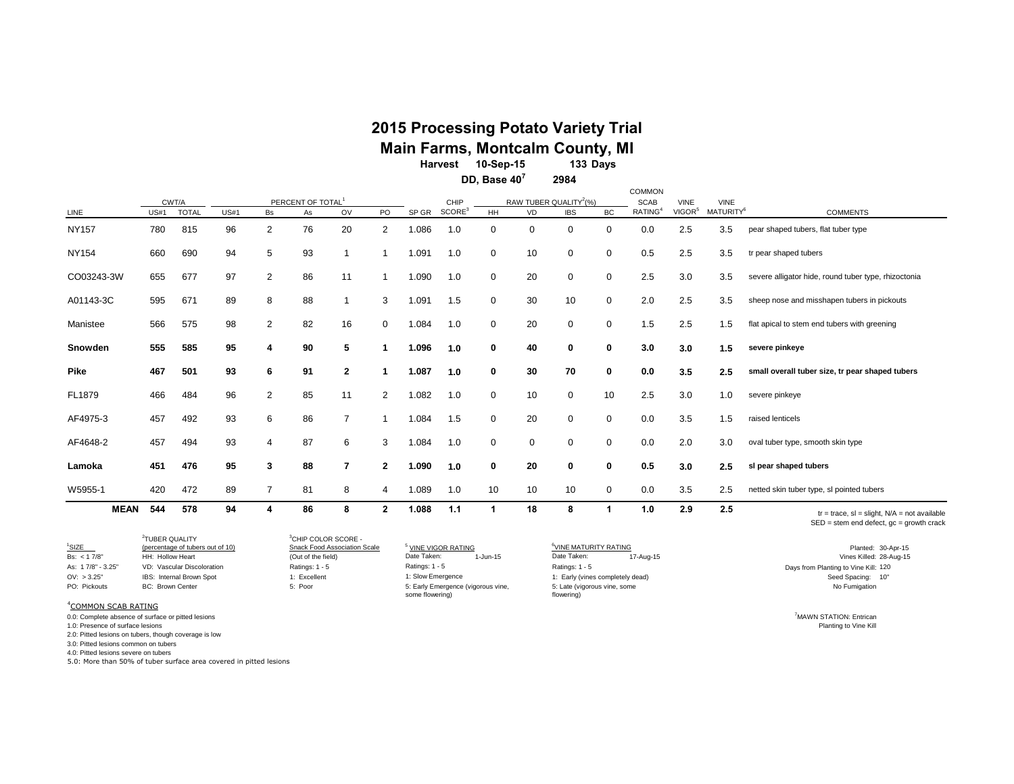### **2015 Processing Potato Variety Trial Main Farms, Montcalm County, MI**

**133 Days 10-Sep-15 Harvest**

> **2984 DD, Base 40<sup>7</sup>**

|              |             |              |      |                |                               |                |                |       |                  |             |                                    |             |             | <b>COMMON</b>       |                    |                       |                                                                                                   |
|--------------|-------------|--------------|------|----------------|-------------------------------|----------------|----------------|-------|------------------|-------------|------------------------------------|-------------|-------------|---------------------|--------------------|-----------------------|---------------------------------------------------------------------------------------------------|
|              |             | CWT/A        |      |                | PERCENT OF TOTAL <sup>1</sup> |                |                |       | CHIP             |             | RAW TUBER QUALITY <sup>2</sup> (%) |             |             | <b>SCAB</b>         | <b>VINE</b>        | <b>VINE</b>           |                                                                                                   |
| LINE         | <b>US#1</b> | <b>TOTAL</b> | US#1 | Bs             | As                            | <b>OV</b>      | PO             | SP GR | $\text{SCORE}^3$ | HH          | <b>VD</b>                          | <b>IBS</b>  | BC          | RATING <sup>4</sup> | VIGOR <sup>5</sup> | MATURITY <sup>6</sup> | <b>COMMENTS</b>                                                                                   |
| <b>NY157</b> | 780         | 815          | 96   | 2              | 76                            | 20             | 2              | 1.086 | 1.0              | $\mathbf 0$ | $\mathbf 0$                        | 0           | $\mathbf 0$ | 0.0                 | 2.5                | 3.5                   | pear shaped tubers, flat tuber type                                                               |
| <b>NY154</b> | 660         | 690          | 94   | 5              | 93                            |                |                | 1.091 | 1.0              | 0           | 10                                 | $\mathbf 0$ | $\mathbf 0$ | 0.5                 | 2.5                | 3.5                   | tr pear shaped tubers                                                                             |
| CO03243-3W   | 655         | 677          | 97   | $\mathbf{2}$   | 86                            | 11             |                | 1.090 | 1.0              | 0           | 20                                 | $\mathbf 0$ | $\mathbf 0$ | 2.5                 | 3.0                | 3.5                   | severe alligator hide, round tuber type, rhizoctonia                                              |
| A01143-3C    | 595         | 671          | 89   | 8              | 88                            |                | 3              | 1.091 | 1.5              | $\mathbf 0$ | 30                                 | 10          | $\mathbf 0$ | 2.0                 | 2.5                | 3.5                   | sheep nose and misshapen tubers in pickouts                                                       |
| Manistee     | 566         | 575          | 98   | 2              | 82                            | 16             | $\mathbf 0$    | 1.084 | 1.0              | 0           | 20                                 | $\mathbf 0$ | $\mathbf 0$ | 1.5                 | 2.5                | 1.5                   | flat apical to stem end tubers with greening                                                      |
| Snowden      | 555         | 585          | 95   | 4              | 90                            | 5              |                | 1.096 | 1.0              | 0           | 40                                 | 0           | 0           | 3.0                 | 3.0                | 1.5                   | severe pinkeye                                                                                    |
| <b>Pike</b>  | 467         | 501          | 93   | 6              | 91                            | $\overline{2}$ |                | 1.087 | 1.0              | 0           | 30                                 | 70          | $\mathbf 0$ | 0.0                 | 3.5                | 2.5                   | small overall tuber size, tr pear shaped tubers                                                   |
| FL1879       | 466         | 484          | 96   | $\overline{2}$ | 85                            | 11             | $\overline{2}$ | 1.082 | 1.0              | 0           | 10                                 | $\mathbf 0$ | 10          | 2.5                 | 3.0                | 1.0                   | severe pinkeye                                                                                    |
| AF4975-3     | 457         | 492          | 93   | 6              | 86                            | 7              |                | 1.084 | 1.5              | $\mathbf 0$ | 20                                 | $\mathbf 0$ | $\mathbf 0$ | 0.0                 | 3.5                | 1.5                   | raised lenticels                                                                                  |
| AF4648-2     | 457         | 494          | 93   | 4              | 87                            | 6              | 3              | 1.084 | 1.0              | $\mathbf 0$ | $\mathbf 0$                        | $\Omega$    | $\mathbf 0$ | 0.0                 | 2.0                | 3.0                   | oval tuber type, smooth skin type                                                                 |
| Lamoka       | 451         | 476          | 95   | 3              | 88                            | $\overline{7}$ | $\mathbf{2}$   | 1.090 | 1.0              | 0           | 20                                 | 0           | 0           | 0.5                 | 3.0                | 2.5                   | sl pear shaped tubers                                                                             |
| W5955-1      | 420         | 472          | 89   | $\overline{7}$ | 81                            | 8              | 4              | 1.089 | 1.0              | 10          | 10                                 | 10          | 0           | 0.0                 | 3.5                | 2.5                   | netted skin tuber type, sl pointed tubers                                                         |
| <b>MEAN</b>  | 544         | 578          | 94   | Δ              | 86                            | 8              | $\mathbf{2}$   | 1.088 | 1.1              | 1           | 18                                 | 8           |             | 1.0                 | 2.9                | 2.5                   | $tr = trace$ , sl = slight, $N/A$ = not available<br>$SED = stem$ end defect, $qc = growth$ crack |

| <sup>1</sup> SIZE               | <sup>2</sup> TUBER OUALITY<br>(percentage of tubers out of 10) | <sup>3</sup> CHIP COLOR SCORE -<br>Snack Food Association Scale | <sup>5</sup> VINE VIGOR RATING                        | <sup>6</sup> VINE MATURITY RATING          | Planted: 30-Apr-15                   |
|---------------------------------|----------------------------------------------------------------|-----------------------------------------------------------------|-------------------------------------------------------|--------------------------------------------|--------------------------------------|
| Bs: $< 17/8"$                   | HH: Hollow Heart                                               | (Out of the field)                                              | Date Taken:<br>1-Jun-15                               | Date Taken:<br>17-Aug-15                   | Vines Killed: 28-Aug-15              |
| As: 17/8" - 3.25"               | VD: Vascular Discoloration                                     | Ratings: 1 - 5                                                  | Ratings: $1 - 5$                                      | Ratings: 1 - 5                             | Days from Planting to Vine Kill: 120 |
| OV: > 3.25"                     | IBS: Internal Brown Spot                                       | 1: Excellent                                                    | 1: Slow Emergence                                     | 1: Early (vines completely dead)           | Seed Spacing: 10"                    |
| PO: Pickouts                    | <b>BC: Brown Center</b>                                        | 5: Poor                                                         | 5: Early Emergence (vigorous vine,<br>some flowering) | 5: Late (vigorous vine, some<br>flowering) | No Fumigation                        |
| <sup>4</sup> COMMON SCAB RATING |                                                                |                                                                 |                                                       |                                            |                                      |

on the complete absence of surface or pitted lesions and the state of surface or pitted lesions and the state or pitted lesions and the state of surface or pitted lesions and the state of surface or pitted lesions and the

1.0: Presence of surface lesions

2.0: Pitted lesions on tubers, though coverage is low

3.0: Pitted lesions common on tubers

4.0: Pitted lesions severe on tubers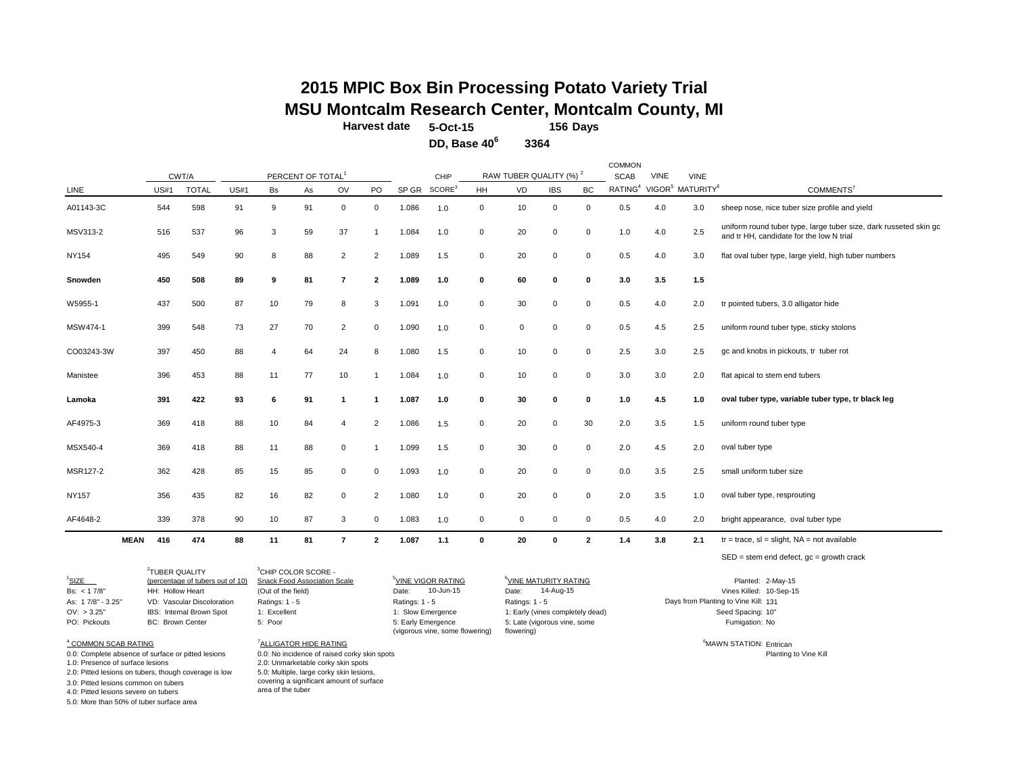### **156 Days 2015 MPIC Box Bin Processing Potato Variety Trial MSU Montcalm Research Center, Montcalm County, MI**

COMMON

**Harvest date 5-Oct-15**

**DD, Base 40<sup>6</sup> 3364**

|              |             |             | CWT/A        |      |    | PERCENT OF TOTAL |                         |                |       | CHIP               |             | RAW TUBER QUALITY (%) <sup>2</sup> |              |                | <b>SCAB</b>         | <b>VINE</b> | <b>VINE</b>                              |                                                                                                               |
|--------------|-------------|-------------|--------------|------|----|------------------|-------------------------|----------------|-------|--------------------|-------------|------------------------------------|--------------|----------------|---------------------|-------------|------------------------------------------|---------------------------------------------------------------------------------------------------------------|
| LINE         |             | <b>US#1</b> | <b>TOTAL</b> | US#1 | Bs | As               | OV                      | PO             | SP GR | SCORE <sup>3</sup> | HH          | VD                                 | <b>IBS</b>   | BC             | RATING <sup>4</sup> |             | VIGOR <sup>5</sup> MATURITY <sup>6</sup> | COMMENTS <sup>7</sup>                                                                                         |
| A01143-3C    |             | 544         | 598          | 91   | 9  | 91               | $\mathbf 0$             | 0              | 1.086 | 1.0                | $\mathbf 0$ | 10                                 | $\mathbf 0$  | $\mathbf 0$    | 0.5                 | 4.0         | 3.0                                      | sheep nose, nice tuber size profile and yield                                                                 |
| MSV313-2     |             | 516         | 537          | 96   | 3  | 59               | 37                      |                | 1.084 | 1.0                | $\mathbf 0$ | 20                                 | $\mathbf 0$  | $\mathbf 0$    | 1.0                 | 4.0         | 2.5                                      | uniform round tuber type, large tuber size, dark russeted skin gc<br>and tr HH, candidate for the low N trial |
| NY154        |             | 495         | 549          | 90   | 8  | 88               | $\overline{2}$          | $\overline{2}$ | 1.089 | 1.5                | $\mathbf 0$ | 20                                 | $\mathbf 0$  | $\mathbf 0$    | 0.5                 | 4.0         | 3.0                                      | flat oval tuber type, large yield, high tuber numbers                                                         |
| Snowden      |             | 450         | 508          | 89   | 9  | 81               | $\overline{7}$          | $\mathbf{2}$   | 1.089 | 1.0                | $\mathbf 0$ | 60                                 | $\bf{0}$     | $\mathbf 0$    | 3.0                 | 3.5         | 1.5                                      |                                                                                                               |
| W5955-1      |             | 437         | 500          | 87   | 10 | 79               | 8                       | 3              | 1.091 | 1.0                | $\mathbf 0$ | 30                                 | $\mathbf 0$  | $\mathbf 0$    | 0.5                 | 4.0         | 2.0                                      | tr pointed tubers, 3.0 alligator hide                                                                         |
| MSW474-1     |             | 399         | 548          | 73   | 27 | 70               | $\overline{2}$          | 0              | 1.090 | 1.0                | $\mathbf 0$ | $\mathbf 0$                        | 0            | $\mathbf 0$    | 0.5                 | 4.5         | 2.5                                      | uniform round tuber type, sticky stolons                                                                      |
| CO03243-3W   |             | 397         | 450          | 88   | 4  | 64               | 24                      | 8              | 1.080 | 1.5                | $\mathbf 0$ | 10                                 | 0            | $\mathsf 0$    | 2.5                 | 3.0         | 2.5                                      | gc and knobs in pickouts, tr tuber rot                                                                        |
| Manistee     |             | 396         | 453          | 88   | 11 | 77               | 10                      |                | 1.084 | 1.0                | $\mathbf 0$ | 10                                 | $\mathbf 0$  | $\mathbf 0$    | 3.0                 | 3.0         | 2.0                                      | flat apical to stem end tubers                                                                                |
| Lamoka       |             | 391         | 422          | 93   | 6  | 91               | $\overline{\mathbf{1}}$ | $\overline{1}$ | 1.087 | 1.0                | 0           | 30                                 | 0            | 0              | 1.0                 | 4.5         | 1.0                                      | oval tuber type, variable tuber type, tr black leg                                                            |
| AF4975-3     |             | 369         | 418          | 88   | 10 | 84               | $\overline{4}$          | $\overline{2}$ | 1.086 | 1.5                | $\mathbf 0$ | 20                                 | 0            | 30             | 2.0                 | 3.5         | 1.5                                      | uniform round tuber type                                                                                      |
| MSX540-4     |             | 369         | 418          | 88   | 11 | 88               | 0                       |                | 1.099 | 1.5                | $\mathbf 0$ | 30                                 | $\mathbf 0$  | $\mathsf 0$    | 2.0                 | 4.5         | 2.0                                      | oval tuber type                                                                                               |
| MSR127-2     |             | 362         | 428          | 85   | 15 | 85               | 0                       | 0              | 1.093 | 1.0                | $\mathbf 0$ | 20                                 | $\mathbf 0$  | $\mathbf 0$    | 0.0                 | 3.5         | 2.5                                      | small uniform tuber size                                                                                      |
| <b>NY157</b> |             | 356         | 435          | 82   | 16 | 82               | $\mathbf 0$             | $\overline{2}$ | 1.080 | 1.0                | $\mathbf 0$ | 20                                 | $\mathbf 0$  | $\mathbf 0$    | 2.0                 | 3.5         | 1.0                                      | oval tuber type, resprouting                                                                                  |
| AF4648-2     |             | 339         | 378          | 90   | 10 | 87               | 3                       | 0              | 1.083 | 1.0                | $\mathbf 0$ | 0                                  | $\mathbf 0$  | $\mathbf 0$    | 0.5                 | 4.0         | 2.0                                      | bright appearance, oval tuber type                                                                            |
|              | <b>MEAN</b> | 416         | 474          | 88   | 11 | 81               | $\overline{7}$          | $\mathbf{2}$   | 1.087 | 1.1                | $\mathbf 0$ | 20                                 | $\mathbf{0}$ | $\overline{2}$ | 1.4                 | 3.8         | 2.1                                      | $tr = trace$ , sl = slight, NA = not available                                                                |
|              |             |             |              |      |    |                  |                         |                |       |                    |             |                                    |              |                |                     |             |                                          | $SED = stem$ end defect, $gc = growth$ crack                                                                  |

<sup>1</sup>SIZE (percentage of tubers out of 10) Snack Food Association Scale <sup>5</sup>VINE VIGOR RATING <sup>6</sup>VINE MATURITY RATING **Planted: 2-May-15** Bs: <17/8"
HH: Hollow Heart (Out of the field) Date: 10-Jun-15 Date: 14-Aug-15 Date: 19-9-15 Vines Killed: 10-Sep-15 As: 1 7/8" - 3.25" VD: Vascular Discoloration Ratings: 1 - 5 Ratings: 1 - 5 Ratings: 1 - 5 Ratings: 1 - 5 Ratings: 1 - 5 Days from Planting to Vine Kill: 131 OV: > 3.25" IBS: Internal Brown Spot 1: Excellent 1: Sow Emergence 1: Early (vines completely dead) 2 TUBER QUALITY

<sup>3</sup>CHIP COLOR SCORE -

area of the tuber

2.0: Unmarketable corky skin spots

5.0: Multiple, large corky skin lesions, covering a significant amount of surface

5: Early Emergence (vigorous vine, some flowering) 1: Slow Emergence Date: 10-Jun-15

PO: Pickouts BC: Brown Center 5: Poor No 5: Late (vigorous vine, some Date: **14-Aug-15** flowering)

Seed Spacing: 10" Fumigation: No

<sup>7</sup>ALLIGATOR HIDE RATING **Entrican CONTACT CONTACT CONTACT CONTACT CONTACT CONTACT CONTACT CONTACT CONTACT CONTACT CONTACT CONTACT CONTACT CONTACT CONTACT CONTACT CONTACT CONTACT CONTACT CONTACT CONTACT CONTACT CONTACT CON** 0.0: Complete absence of surface or pitted lesions 0.0: No incidence of raised corky skin spots <br>1.0: Presence of surface lesions 2.0: Unmarketable corky skin spots Planting to Vine Kill

4 COMMON SCAB RATING

2.0: Pitted lesions on tubers, though coverage is low

3.0: Pitted lesions common on tubers

4.0: Pitted lesions severe on tubers

5.0: More than 50% of tuber surface area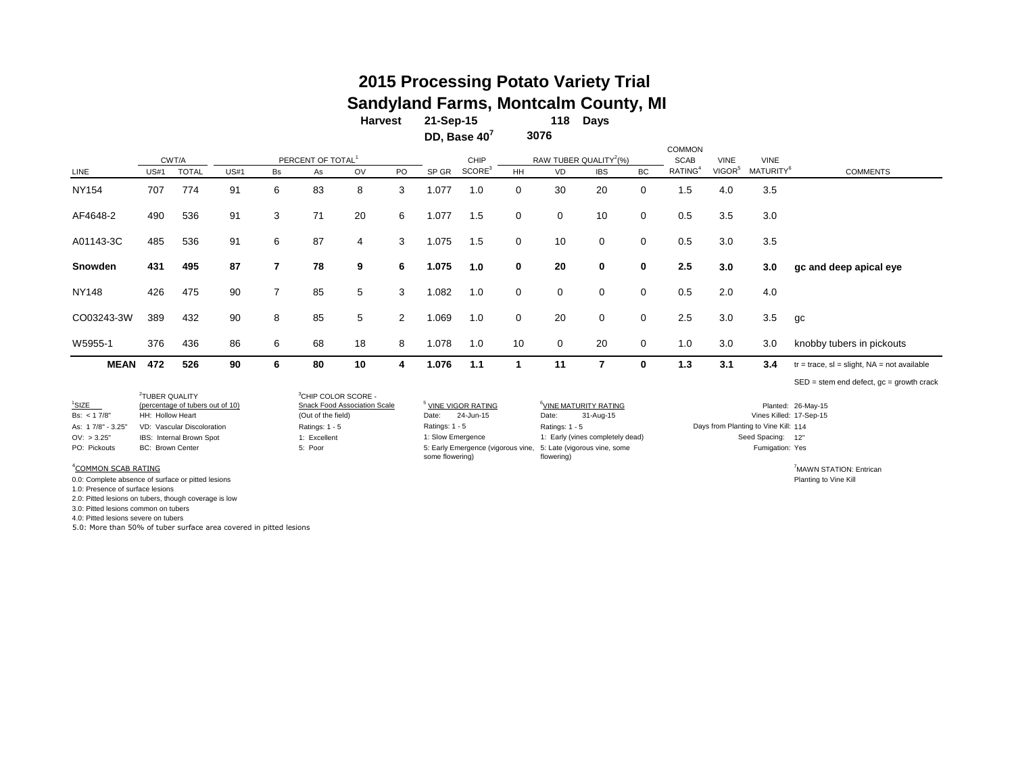### **118 Days 2015 Processing Potato Variety Trial Sandyland Farms, Montcalm County, MI**

**DD, Base 40<sup>7</sup> 21-Sep-15 Harvest 3076**

|              |             | CWT/A        |             |                | PERCENT OF TOTAL <sup>1</sup> |    |                |       | CHIP               |             |             | RAW TUBER QUALITY <sup>2</sup> (%) |             | <b>COMMON</b><br><b>SCAB</b> | <b>VINE</b>        | <b>VINE</b>           |                                                |
|--------------|-------------|--------------|-------------|----------------|-------------------------------|----|----------------|-------|--------------------|-------------|-------------|------------------------------------|-------------|------------------------------|--------------------|-----------------------|------------------------------------------------|
| LINE         | <b>US#1</b> | <b>TOTAL</b> | <b>US#1</b> | Bs             | As                            | OV | PO             | SP GR | SCORE <sup>3</sup> | HH          | <b>VD</b>   | <b>IBS</b>                         | <b>BC</b>   | RATING <sup>4</sup>          | VIGOR <sup>5</sup> | MATURITY <sup>6</sup> | <b>COMMENTS</b>                                |
| <b>NY154</b> | 707         | 774          | 91          | 6              | 83                            | 8  | 3              | 1.077 | 1.0                | $\mathbf 0$ | 30          | 20                                 | $\mathbf 0$ | 1.5                          | 4.0                | 3.5                   |                                                |
| AF4648-2     | 490         | 536          | 91          | 3              | 71                            | 20 | 6              | 1.077 | 1.5                | $\mathbf 0$ | $\mathbf 0$ | 10                                 | $\mathbf 0$ | 0.5                          | 3.5                | 3.0                   |                                                |
| A01143-3C    | 485         | 536          | 91          | 6              | 87                            | 4  | 3              | 1.075 | 1.5                | $\mathbf 0$ | 10          | $\mathbf 0$                        | $\mathbf 0$ | 0.5                          | 3.0                | 3.5                   |                                                |
| Snowden      | 431         | 495          | 87          | $\overline{7}$ | 78                            | 9  | 6              | 1.075 | 1.0                | $\bf{0}$    | 20          | $\mathbf 0$                        | 0           | 2.5                          | 3.0                | 3.0                   | gc and deep apical eye                         |
| <b>NY148</b> | 426         | 475          | 90          | $\overline{7}$ | 85                            | 5  | 3              | 1.082 | 1.0                | $\mathbf 0$ | $\mathbf 0$ | $\mathbf{0}$                       | $\mathbf 0$ | 0.5                          | 2.0                | 4.0                   |                                                |
| CO03243-3W   | 389         | 432          | 90          | 8              | 85                            | 5  | $\overline{2}$ | 1.069 | 1.0                | $\mathbf 0$ | 20          | $\mathbf 0$                        | $\mathbf 0$ | 2.5                          | 3.0                | 3.5                   | gc                                             |
| W5955-1      | 376         | 436          | 86          | 6              | 68                            | 18 | 8              | 1.078 | 1.0                | 10          | $\mathbf 0$ | 20                                 | $\mathbf 0$ | 1.0                          | 3.0                | 3.0                   | knobby tubers in pickouts                      |
| <b>MEAN</b>  | 472         | 526          | 90          | 6              | 80                            | 10 | 4              | 1.076 | 1.1                |             | 11          | 7                                  | 0           | 1.3                          | 3.1                | 3.4                   | $tr = trace$ , sl = slight, NA = not available |
|              |             |              |             |                |                               |    |                |       |                    |             |             |                                    |             |                              |                    |                       | $SED = stem$ end defect, $gc = growth$ crack   |

|                                 | <sup>2</sup> TUBER QUALITY       | <sup>3</sup> CHIP COLOR SCORE - |                                                                                    |                                   |                                      |                         |
|---------------------------------|----------------------------------|---------------------------------|------------------------------------------------------------------------------------|-----------------------------------|--------------------------------------|-------------------------|
| $1$ SIZE                        | (percentage of tubers out of 10) | Snack Food Association Scale    | <sup>5</sup> VINE VIGOR RATING                                                     | <sup>b</sup> VINE MATURITY RATING |                                      | Planted: 26-May-15      |
| Bs: $< 17/8"$                   | HH: Hollow Heart                 | (Out of the field)              | 24-Jun-15<br>Date:                                                                 | 31-Aug-15<br>Date:                | Vines Killed: 17-Sep-15              |                         |
| As: 17/8" - 3.25"               | VD: Vascular Discoloration       | Ratings: 1 - 5                  | Ratings: 1 - 5                                                                     | Ratings: 1 - 5                    | Days from Planting to Vine Kill: 114 |                         |
| OV: > 3.25"                     | IBS: Internal Brown Spot         | 1: Excellent                    | 1: Slow Emergence                                                                  | 1: Early (vines completely dead)  | Seed Spacing: 12"                    |                         |
| PO: Pickouts                    | <b>BC: Brown Center</b>          | 5: Poor                         | 5: Early Emergence (vigorous vine, 5: Late (vigorous vine, some<br>some flowering) | flowering)                        | Fumigation: Yes                      |                         |
| <sup>4</sup> COMMON SCAB RATING |                                  |                                 |                                                                                    |                                   |                                      | 'MAWN STATION: Entrican |

0.0: Complete absence of surface or pitted lesions **provides** the Kill control of the Kill control of the Kill control of Vine Kill control of Vine Kill control of Vine Kill control of Vine Kill control of Vine Kill contro

1.0: Presence of surface lesions

2.0: Pitted lesions on tubers, though coverage is low

3.0: Pitted lesions common on tubers

4.0: Pitted lesions severe on tubers